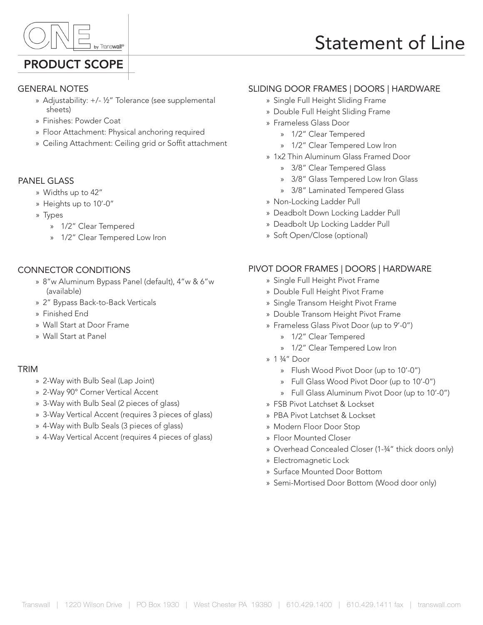

## PRODUCT SCOPE

# GENERAL NOTES

- » Adjustability: +/- ½" Tolerance (see supplemental sheets)
- » Finishes: Powder Coat
- » Floor Attachment: Physical anchoring required
- » Ceiling Attachment: Ceiling grid or Soffit attachment

### PANEL GLASS

- » Widths up to 42"
- » Heights up to 10'-0"
- » Types
	- » 1/2" Clear Tempered
	- » 1/2" Clear Tempered Low Iron

### CONNECTOR CONDITIONS

- » 8"w Aluminum Bypass Panel (default), 4"w & 6"w (available)
- » 2" Bypass Back-to-Back Verticals
- » Finished End
- » Wall Start at Door Frame
- » Wall Start at Panel

#### TRIM

- » 2-Way with Bulb Seal (Lap Joint)
- » 2-Way 90° Corner Vertical Accent
- » 3-Way with Bulb Seal (2 pieces of glass)
- » 3-Way Vertical Accent (requires 3 pieces of glass)
- » 4-Way with Bulb Seals (3 pieces of glass)
- » 4-Way Vertical Accent (requires 4 pieces of glass)

### SLIDING DOOR FRAMES | DOORS | HARDWARE

- » Single Full Height Sliding Frame
- » Double Full Height Sliding Frame
- » Frameless Glass Door
	- » 1/2" Clear Tempered
	- » 1/2" Clear Tempered Low Iron
- » 1x2 Thin Aluminum Glass Framed Door
	- » 3/8" Clear Tempered Glass
	- » 3/8" Glass Tempered Low Iron Glass
	- » 3/8" Laminated Tempered Glass
- » Non-Locking Ladder Pull
- » Deadbolt Down Locking Ladder Pull
- » Deadbolt Up Locking Ladder Pull
- » Soft Open/Close (optional)

### PIVOT DOOR FRAMES | DOORS | HARDWARE

- » Single Full Height Pivot Frame
- » Double Full Height Pivot Frame
- » Single Transom Height Pivot Frame
- » Double Transom Height Pivot Frame
- » Frameless Glass Pivot Door (up to 9'-0")
	- » 1/2" Clear Tempered
		- » 1/2" Clear Tempered Low Iron
- » 1 ¾" Door
	- » Flush Wood Pivot Door (up to 10'-0")
	- » Full Glass Wood Pivot Door (up to 10'-0")
	- » Full Glass Aluminum Pivot Door (up to 10'-0")
- » FSB Pivot Latchset & Lockset
- » PBA Pivot Latchset & Lockset
- » Modern Floor Door Stop
- » Floor Mounted Closer
- » Overhead Concealed Closer (1-¾" thick doors only)
- » Electromagnetic Lock
- » Surface Mounted Door Bottom
- » Semi-Mortised Door Bottom (Wood door only)

# Statement of Line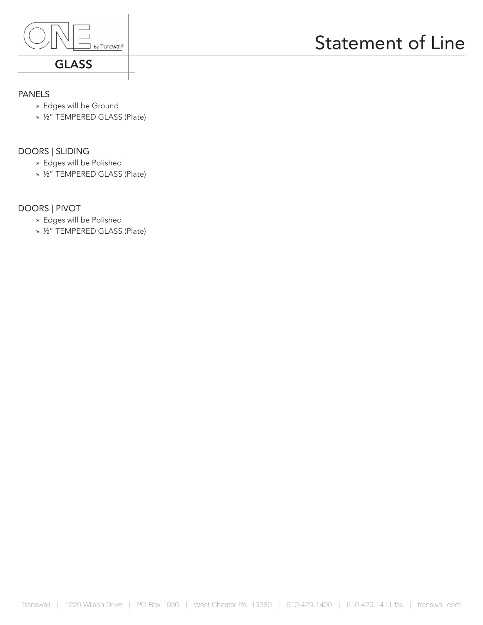

### GLASS

# Statement of Line

### PANELS

- » Edges will be Ground
- » ½" TEMPERED GLASS (Plate)

### DOORS | SLIDING

- » Edges will be Polished
- » ½" TEMPERED GLASS (Plate)

### DOORS | PIVOT

- » Edges will be Polished
- » ½" TEMPERED GLASS (Plate)